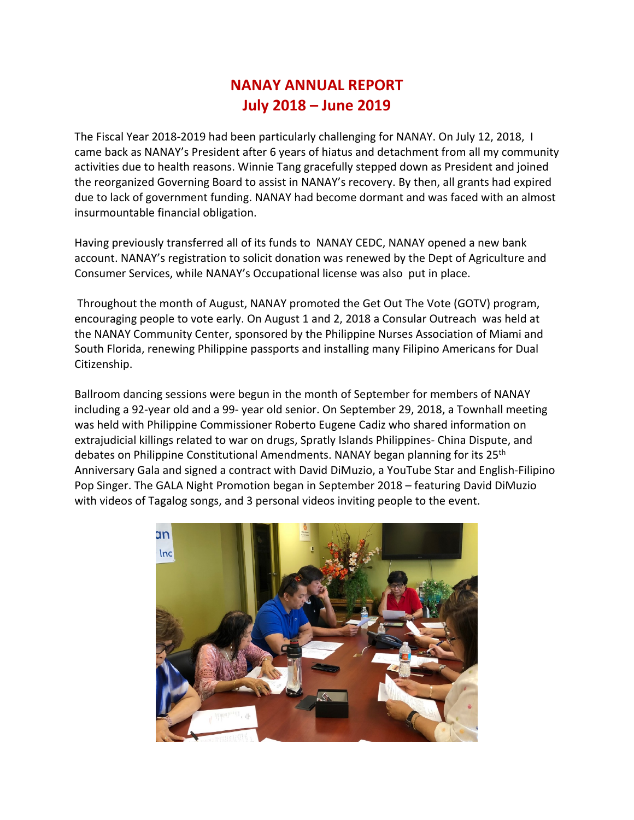## **NANAY ANNUAL REPORT July 2018 – June 2019**

The Fiscal Year 2018-2019 had been particularly challenging for NANAY. On July 12, 2018, I came back as NANAY's President after 6 years of hiatus and detachment from all my community activities due to health reasons. Winnie Tang gracefully stepped down as President and joined the reorganized Governing Board to assist in NANAY's recovery. By then, all grants had expired due to lack of government funding. NANAY had become dormant and was faced with an almost insurmountable financial obligation.

Having previously transferred all of its funds to NANAY CEDC, NANAY opened a new bank account. NANAY's registration to solicit donation was renewed by the Dept of Agriculture and Consumer Services, while NANAY's Occupational license was also put in place.

Throughout the month of August, NANAY promoted the Get Out The Vote (GOTV) program, encouraging people to vote early. On August 1 and 2, 2018 a Consular Outreach was held at the NANAY Community Center, sponsored by the Philippine Nurses Association of Miami and South Florida, renewing Philippine passports and installing many Filipino Americans for Dual Citizenship.

Ballroom dancing sessions were begun in the month of September for members of NANAY including a 92-year old and a 99- year old senior. On September 29, 2018, a Townhall meeting was held with Philippine Commissioner Roberto Eugene Cadiz who shared information on extrajudicial killings related to war on drugs, Spratly Islands Philippines- China Dispute, and debates on Philippine Constitutional Amendments. NANAY began planning for its 25<sup>th</sup> Anniversary Gala and signed a contract with David DiMuzio, a YouTube Star and English-Filipino Pop Singer. The GALA Night Promotion began in September 2018 – featuring David DiMuzio with videos of Tagalog songs, and 3 personal videos inviting people to the event.

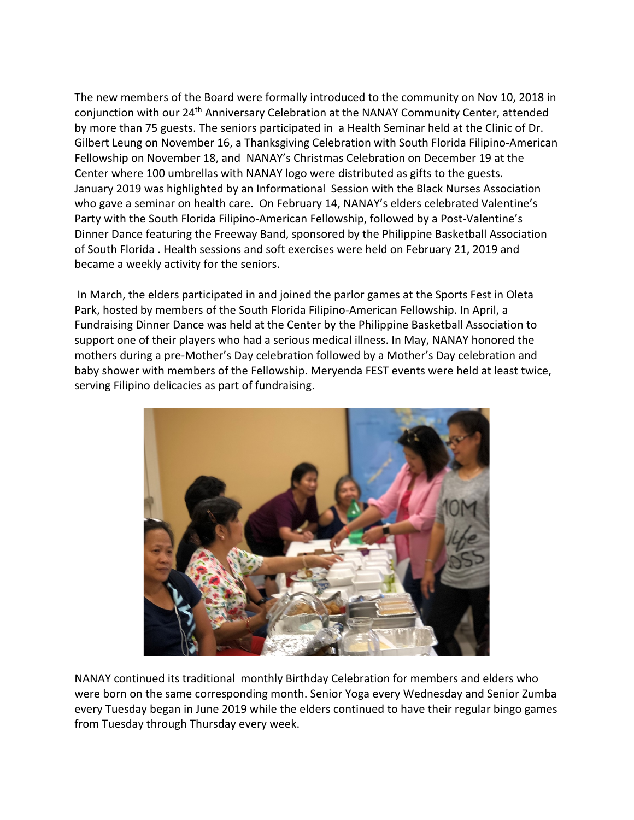The new members of the Board were formally introduced to the community on Nov 10, 2018 in conjunction with our 24th Anniversary Celebration at the NANAY Community Center, attended by more than 75 guests. The seniors participated in a Health Seminar held at the Clinic of Dr. Gilbert Leung on November 16, a Thanksgiving Celebration with South Florida Filipino-American Fellowship on November 18, and NANAY's Christmas Celebration on December 19 at the Center where 100 umbrellas with NANAY logo were distributed as gifts to the guests. January 2019 was highlighted by an Informational Session with the Black Nurses Association who gave a seminar on health care. On February 14, NANAY's elders celebrated Valentine's Party with the South Florida Filipino-American Fellowship, followed by a Post-Valentine's Dinner Dance featuring the Freeway Band, sponsored by the Philippine Basketball Association of South Florida . Health sessions and soft exercises were held on February 21, 2019 and became a weekly activity for the seniors.

In March, the elders participated in and joined the parlor games at the Sports Fest in Oleta Park, hosted by members of the South Florida Filipino-American Fellowship. In April, a Fundraising Dinner Dance was held at the Center by the Philippine Basketball Association to support one of their players who had a serious medical illness. In May, NANAY honored the mothers during a pre-Mother's Day celebration followed by a Mother's Day celebration and baby shower with members of the Fellowship. Meryenda FEST events were held at least twice, serving Filipino delicacies as part of fundraising.



NANAY continued its traditional monthly Birthday Celebration for members and elders who were born on the same corresponding month. Senior Yoga every Wednesday and Senior Zumba every Tuesday began in June 2019 while the elders continued to have their regular bingo games from Tuesday through Thursday every week.